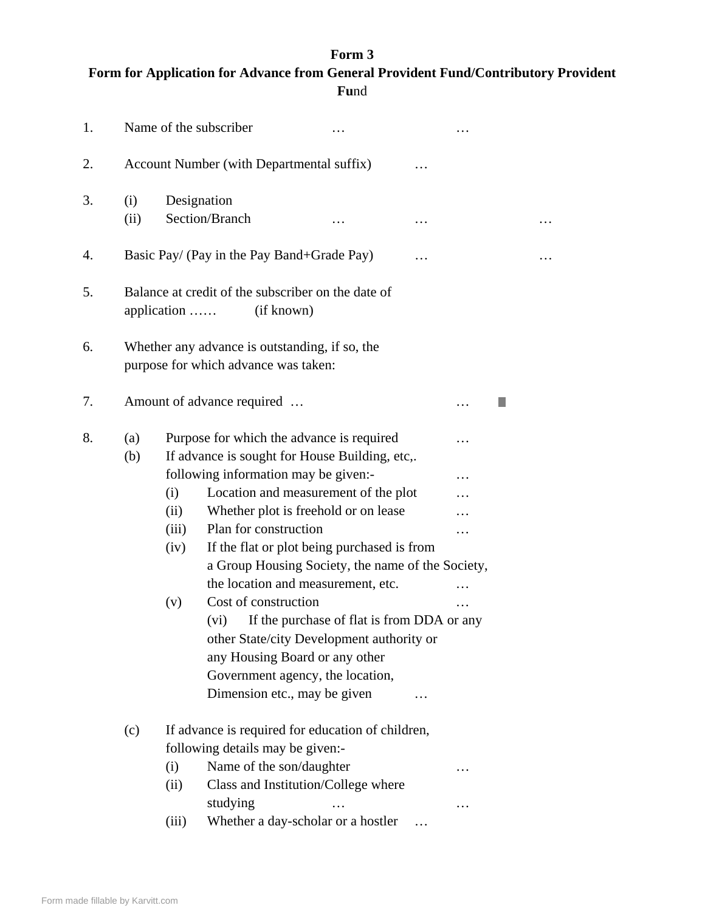## **Form 3**

| Form for Application for Advance from General Provident Fund/Contributory Provident |
|-------------------------------------------------------------------------------------|
| <b>Fund</b>                                                                         |

| 1. |                                                                                        |                                                 | Name of the subscriber                                                   |                                                                                                                                                                                                                                                                                                                                                                                                                                                                                                                                                                |   |  |  |   |
|----|----------------------------------------------------------------------------------------|-------------------------------------------------|--------------------------------------------------------------------------|----------------------------------------------------------------------------------------------------------------------------------------------------------------------------------------------------------------------------------------------------------------------------------------------------------------------------------------------------------------------------------------------------------------------------------------------------------------------------------------------------------------------------------------------------------------|---|--|--|---|
| 2. | Account Number (with Departmental suffix)                                              |                                                 |                                                                          |                                                                                                                                                                                                                                                                                                                                                                                                                                                                                                                                                                |   |  |  |   |
| 3. | (i)<br>(ii)                                                                            | Designation                                     | Section/Branch                                                           |                                                                                                                                                                                                                                                                                                                                                                                                                                                                                                                                                                | . |  |  | . |
| 4. |                                                                                        | Basic Pay/ (Pay in the Pay Band+Grade Pay)<br>. |                                                                          |                                                                                                                                                                                                                                                                                                                                                                                                                                                                                                                                                                |   |  |  |   |
| 5. | Balance at credit of the subscriber on the date of<br>(if known)<br>application        |                                                 |                                                                          |                                                                                                                                                                                                                                                                                                                                                                                                                                                                                                                                                                |   |  |  |   |
| 6. | Whether any advance is outstanding, if so, the<br>purpose for which advance was taken: |                                                 |                                                                          |                                                                                                                                                                                                                                                                                                                                                                                                                                                                                                                                                                |   |  |  |   |
| 7. | Amount of advance required                                                             |                                                 |                                                                          |                                                                                                                                                                                                                                                                                                                                                                                                                                                                                                                                                                |   |  |  |   |
| 8. | (a)<br>(b)                                                                             | (i)<br>(ii)<br>(iii)<br>(iv)<br>(v)             | Plan for construction<br>Cost of construction<br>(vi)                    | Purpose for which the advance is required<br>If advance is sought for House Building, etc,.<br>following information may be given:-<br>Location and measurement of the plot<br>Whether plot is freehold or on lease<br>If the flat or plot being purchased is from<br>a Group Housing Society, the name of the Society,<br>the location and measurement, etc.<br>If the purchase of flat is from DDA or any<br>other State/city Development authority or<br>any Housing Board or any other<br>Government agency, the location,<br>Dimension etc., may be given |   |  |  |   |
|    | (c)                                                                                    | (i)<br>(ii)<br>(iii)                            | following details may be given:-<br>Name of the son/daughter<br>studying | If advance is required for education of children,<br>Class and Institution/College where<br>Whether a day-scholar or a hostler                                                                                                                                                                                                                                                                                                                                                                                                                                 |   |  |  |   |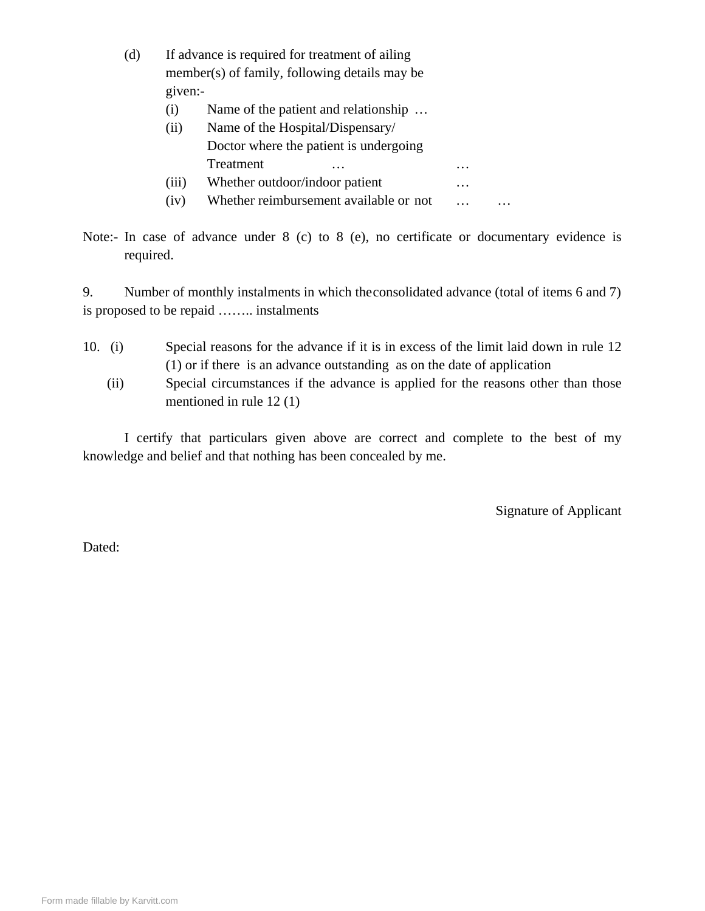| (d) |                                               | If advance is required for treatment of ailing |          |  |  |
|-----|-----------------------------------------------|------------------------------------------------|----------|--|--|
|     | member(s) of family, following details may be |                                                |          |  |  |
|     | given:-                                       |                                                |          |  |  |
|     | $\left( 1 \right)$                            | Name of the patient and relationship           |          |  |  |
|     | (ii)                                          | Name of the Hospital/Dispensary/               |          |  |  |
|     |                                               | Doctor where the patient is undergoing         |          |  |  |
|     |                                               | Treatment<br>.                                 | $\cdots$ |  |  |
|     | (iii)                                         | Whether outdoor/indoor patient                 | $\cdots$ |  |  |
|     | (iv)                                          | Whether reimbursement available or not         |          |  |  |

Note:- In case of advance under 8 (c) to 8 (e), no certificate or documentary evidence is required.

9. Number of monthly instalments in which the consolidated advance (total of items 6 and 7) is proposed to be repaid …….. instalments

- 10. (i) Special reasons for the advance if it is in excess of the limit laid down in rule 12 (1) or if there is an advance outstanding as on the date of application
	- (ii) Special circumstances if the advance is applied for the reasons other than those mentioned in rule 12 (1)

I certify that particulars given above are correct and complete to the best of my knowledge and belief and that nothing has been concealed by me.

Signature of Applicant

Dated: